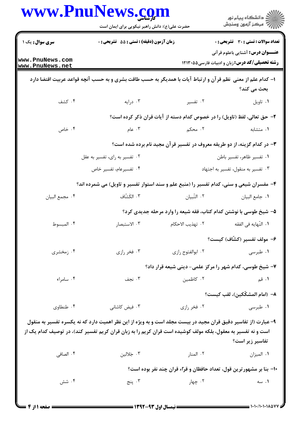|                                    | حضرت علی(ع): دانش راهبر نیکویی برای ایمان است                                                                                                                                                                                  | www.PnuNews.com                                                          | ِ<br>∭ دانشڪاه پيام نور<br>∭ مرڪز آزمون وسنڊش                                            |
|------------------------------------|--------------------------------------------------------------------------------------------------------------------------------------------------------------------------------------------------------------------------------|--------------------------------------------------------------------------|------------------------------------------------------------------------------------------|
| سری سوال: یک ۱                     | <b>زمان آزمون (دقیقه) : تستی : 55 تشریحی : 0</b>                                                                                                                                                                               |                                                                          | <b>تعداد سوالات : تستی : 30 ٪ تشریحی : 0</b><br><b>عنـــوان درس:</b> آشنایی باعلوم قرآنی |
| www.PnuNews.com<br>www.PnuNews.net |                                                                                                                                                                                                                                |                                                                          | <b>رشته تحصیلی/کد درس:</b> زبان و ادبیات فارسی۵۵-۱۲۱۳                                    |
|                                    | ۱– کدام علم از معنی  نظم قر آن و ارتباط آیات با همدیگر به حسب طاقت بشری و به حسب آنچه قواعد عربیت اقتضا دارد                                                                                                                   |                                                                          | بحث می کند؟                                                                              |
| ۰۴ کشف                             | ۰۳ درایه                                                                                                                                                                                                                       | ۲. تفسیر                                                                 | ٠١ تاويل                                                                                 |
|                                    |                                                                                                                                                                                                                                | ۲- حق تعالی، لفظ (تاویل) را در خصوص کدام دسته از آیات قران ذکر کرده است؟ |                                                                                          |
| ۰۴ خاص                             | ۰۳ عام                                                                                                                                                                                                                         | ۲. محکم                                                                  | ٠١. متشابه                                                                               |
|                                    |                                                                                                                                                                                                                                | ۳- در کدام گزینه، از دو طریقه معروف در تفسیر قرآن مجید نام برده شده است؟ |                                                                                          |
|                                    | ۰۲ تفسیر به رای، تفسیر به عقل                                                                                                                                                                                                  |                                                                          | ٠١ تفسير ظاهر، تفسير باطن                                                                |
|                                    | ۰۴ تفسیرعام، تفسیر خاص                                                                                                                                                                                                         |                                                                          | ۰۳ تفسیر به منقول، تفسیر به اجتهاد                                                       |
|                                    | ۴- مفسران شیعی و سنی، کدام تفسیر را (منبع علم و سند استوار تفسیر و تاویل) می شمرده اند؟                                                                                                                                        |                                                                          |                                                                                          |
| ۰۴ مجمع البيان                     | ٠٣ الكَشّاف                                                                                                                                                                                                                    | ٠٢ التّبيان                                                              | ٠١ جامع البيان                                                                           |
|                                    |                                                                                                                                                                                                                                | ۵– شیخ طوسی با نوشتن کدام کتاب، فقه شیعه را وارد مرحله جدیدی کرد؟        |                                                                                          |
| ۰۴ المبسوط                         | ۰۳ الاستبصار                                                                                                                                                                                                                   | ٢. تهذيب الاحكام                                                         | ٠١. النّهايه في الفقه                                                                    |
|                                    |                                                                                                                                                                                                                                |                                                                          | ۶- مولف تفسیر (کشّاف) کیست؟                                                              |
| ۰۴ زمخشری                          | ۰۳ فخر رازی                                                                                                                                                                                                                    | ٠٢ ابوالفتوح رازى                                                        | ۰۱ طبرسی                                                                                 |
|                                    |                                                                                                                                                                                                                                | ۷- شیخ طوسی، کدام شهر را مرکز علمی- دینی شیعه قرار داد؟                  |                                                                                          |
| ۰۴ سامراء                          | ۰۳ نجف                                                                                                                                                                                                                         | ٠٢ كاظمين                                                                | ۱. قم                                                                                    |
|                                    |                                                                                                                                                                                                                                |                                                                          | <b>٨</b> – (امام المشكّكين)، لقب كيست؟                                                   |
| ۰۴ طنطاوي                          | ۰۳ فیض کاشانی                                                                                                                                                                                                                  | ۰۲ فخر رازی                                                              | ۰۱ طبرسی                                                                                 |
|                                    | ۹- عبارت (از تفاسیر دقیق قران مجید در بیست مجلد است و به ویژه از این نظر اهمیت دارد که نه یکسره تفسیر به منقول<br>است و نه تفسیر به معقول، بلکه مولف کوشیده است قران کریم را به زبان قران کریم تفسیر کند)، در توصیف کدام یک از |                                                                          |                                                                                          |
| ۰۴ الصافي                          | ۰۳ جَلالين                                                                                                                                                                                                                     | ۰۲ المنار                                                                | تفاسير زير است؟                                                                          |
|                                    |                                                                                                                                                                                                                                |                                                                          | ٠١. الميزان                                                                              |
|                                    |                                                                                                                                                                                                                                |                                                                          | 10- بنا بر مشهور ترین قول، تعداد حافظان و قرآء قران چند نفر بوده است؟                    |
| ۰۴ شش                              | ۰۳ پنج                                                                                                                                                                                                                         | ۰۲ چهار                                                                  | ۰۱ سه                                                                                    |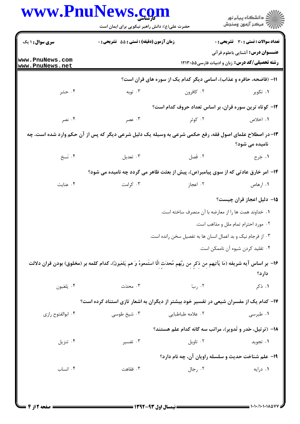|                                    | حضرت علی(ع): دانش راهبر نیکویی برای ایمان است                                                                                          |                                                             | ِ<br>∭ دانشڪاه پيام نور<br>∭ مرڪز آزمون وسنڊش                                                      |
|------------------------------------|----------------------------------------------------------------------------------------------------------------------------------------|-------------------------------------------------------------|----------------------------------------------------------------------------------------------------|
| <b>سری سوال : ۱ یک</b>             | زمان آزمون (دقیقه) : تستی : 55 آتشریحی : 0                                                                                             |                                                             | <b>تعداد سوالات : تستی : 30 ٪ تشریحی : 0</b>                                                       |
| www.PnuNews.com<br>www.PnuNews.net |                                                                                                                                        |                                                             | <b>عنـــوان درس:</b> آشنایی باعلوم قرآنی<br><b>رشته تحصیلی/کد درس:</b> زبان و ادبیات فارسی5۸۵-۱۲۱۳ |
|                                    | 11- (فاضحه، حافره و عذاب)، اسامی دیگر کدام یک از سوره های قران است؟                                                                    |                                                             |                                                                                                    |
| ۰۴ حشر                             | ۰۳ توبه                                                                                                                                | ۰۲ کافرون                                                   | ۰۱ تکویر                                                                                           |
|                                    |                                                                                                                                        |                                                             | ۱۲- کوتاه ترین سوره قران، بر اساس تعداد حروف کدام است؟                                             |
| ۰۴ نصر                             | ۰۳ عصر                                                                                                                                 | ۰۲ کوثر                                                     | ۱. اخلاص                                                                                           |
|                                    | ۱۳- در اصطلاح علمای اصول فقه، رفع حکمی شرعی به وسیله یک دلیل شرعی دیگر که پس از آن حکم وارد شده است، چه                                |                                                             | نامیده می شود؟                                                                                     |
| ۴. نَسخ                            | ۰۳ تعدیل                                                                                                                               | ۰۲ فَصل                                                     | ۰۱ جَرح                                                                                            |
|                                    | ۱۴- امر خارق عادتی که از سوی پیامبر(ص)، پیش از بعثت ظاهر می گردد چه نامیده می شود؟                                                     |                                                             |                                                                                                    |
| ۰۴ عنایت                           | ۰۳ کرامت                                                                                                                               | ۰۲ اعجاز                                                    | ۰۱ ارهاص                                                                                           |
|                                    |                                                                                                                                        |                                                             | ۱۵– دلیل اعجاز قران چیست؟                                                                          |
|                                    |                                                                                                                                        | ٠١. خداوند همت ها را از معارضه با آن منصرف ساخته است.       |                                                                                                    |
|                                    |                                                                                                                                        |                                                             | ۰۲ مورد احترام تمام ملل و مذاهب است.                                                               |
|                                    |                                                                                                                                        | ۰۳ از فرجام نیک و بد اعمال انسان ها به تفصیل سخن رانده است. |                                                                                                    |
|                                    |                                                                                                                                        |                                                             | ۰۴ تقلید کردن شیوه آن ناممکن است.                                                                  |
|                                    | ۱۶– بر اساس آیه شریفه (مَا یَأتیهم مِن ذِکرٍ مِن ربِّهم مُحدَثِ اِلّا استَمعوهُ وَ هم یَلعَبونَ)، کدام کلمه بر (مخلوق) بودن قران دلالت |                                                             | دارد؟                                                                                              |
| ۰۴ يَلعَبون                        | ۰۳ محدّث                                                                                                                               | ۰۲ ربّ                                                      | ۱. ذکر                                                                                             |
|                                    | ۱۷– کدام یک از مفسران شیعی در تفسیر خود بیشتر از دیگران به اشعار تازی استناد کرده است؟                                                 |                                                             |                                                                                                    |
| ۰۴ ابوالفتوح رازى                  | ۰۳ شیخ طوسی                                                                                                                            | ۰۲ علامه طباطبایی                                           | ۰۱ طبرسی                                                                                           |
|                                    |                                                                                                                                        |                                                             | <b>۱۸</b> - (ترتیل، حَدر و تَدویر)، مراتب سه گانه کدام علم هستند؟                                  |
| ۰۴ تنزیل                           | ۰۳ تفسیر                                                                                                                               | ۰۲ تاویل                                                    | ۰۱ تجوید                                                                                           |
|                                    |                                                                                                                                        |                                                             | ۱۹- علم شناخت حدیث و سلسله راویان آن، چه نام دارد؟                                                 |
| ۰۴ انساب                           | ۰۳ فقاهت                                                                                                                               | ۰۲ رجال                                                     | ۰۱ درایه                                                                                           |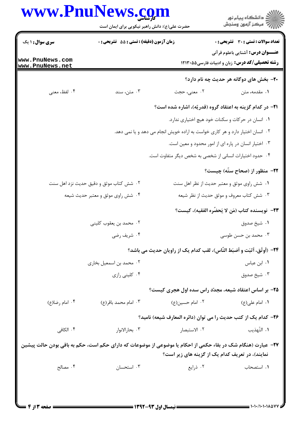|                                    | حضرت علی(ع): دانش راهبر نیکویی برای ایمان است                                 |                                                                                                                                                                 | ڪ دانشڪاه پيام نور<br>پ <sup>ر</sup> مرڪز آزمون وسنڊش                                             |
|------------------------------------|-------------------------------------------------------------------------------|-----------------------------------------------------------------------------------------------------------------------------------------------------------------|---------------------------------------------------------------------------------------------------|
| <b>سری سوال :</b> ۱ یک             | <b>زمان آزمون (دقیقه) : تستی : 55 تشریحی : 0</b>                              |                                                                                                                                                                 | <b>تعداد سوالات : تستی : 30 ٪ تشریحی : 0</b>                                                      |
| www.PnuNews.com<br>www.PnuNews.net |                                                                               |                                                                                                                                                                 | <b>عنـــوان درس:</b> آشنایی باعلوم قرآنی<br><b>رشته تحصیلی/کد درس:</b> زبان و ادبیات فارسی۵۵-۱۲۱۳ |
|                                    |                                                                               |                                                                                                                                                                 | <b>۰۲</b> - بخش های دوگانه هر حدیث چه نام دارد؟                                                   |
| ۰۴ لفظ، معنى                       | ۰۳ متن، سند                                                                   | ۰۲ معنی، حجت                                                                                                                                                    | ۰۱ مقدمه، متن                                                                                     |
|                                    |                                                                               | <b>۲۱</b> - در کدام گزینه به اعتقاد گروه (قدریّه)، اشاره شده است؟                                                                                               |                                                                                                   |
|                                    |                                                                               | ۰۱ انسان در حرکات و سکنات خود هیچ اختیاری ندارد.                                                                                                                |                                                                                                   |
|                                    | ۰۲ انسان اختیار دارد و هر کاری خواست به اراده خویش انجام می دهد و یا نمی دهد. |                                                                                                                                                                 |                                                                                                   |
|                                    |                                                                               | ۰۳ اختیار انسان در پاره ای از امور محدود و معین است.                                                                                                            |                                                                                                   |
|                                    |                                                                               | ۰۴ حدود اختیارات انسانی از شخصی به شخص دیگر متفاوت است.                                                                                                         |                                                                                                   |
|                                    |                                                                               |                                                                                                                                                                 | <b>۲۲</b> - منظور از (صحاح ستّه) چیست؟                                                            |
|                                    | ۰۲ شش کتاب موثق و دقیق حدیث نزد اهل سنت                                       | ٠١ شش راوى موثق و معتبر حديث از نظر اهل سنت                                                                                                                     |                                                                                                   |
|                                    | ۰۴ شش راوی موثق و معتبر حدیث شیعه                                             |                                                                                                                                                                 | ۰۳ شش کتاب معروف و موثق حدیث از نظر شیعه                                                          |
|                                    |                                                                               |                                                                                                                                                                 | ٢٣−  نويسنده كتاب (مَن لا يَحضُره الفقيه)، كيست؟                                                  |
|                                    | ۰۲ محمد بن يعقوب كليني                                                        |                                                                                                                                                                 | ٠١ شيخ صدوق                                                                                       |
|                                    | ۰۴ شریف رضی                                                                   |                                                                                                                                                                 | ۰۳ محمد بن حسن طوسی                                                                               |
|                                    |                                                                               | ٢۴- (أوثَق، أثبَت و أضبَط النَّاس)، لقب كدام يك از راويان حديث مي باشد؟                                                                                         |                                                                                                   |
|                                    | ۰۲ محمد بن اسمعیل بخاری                                                       |                                                                                                                                                                 | ۰۱ ابن عباس                                                                                       |
|                                    | ۰۴ کلینی رازی                                                                 |                                                                                                                                                                 | ۰۳ شيخ صدوق                                                                                       |
|                                    |                                                                               | ۲۵– بر اساس اعتقاد شیعه، مجدّد راس سده اول هجری کیست؟                                                                                                           |                                                                                                   |
| ۰۴ امام رضا(ع)                     | ۰۳ امام محمد باقر(ع)                                                          | ۰۲ امام حسین(ع)                                                                                                                                                 | ۰۱ امام علی(ع)                                                                                    |
|                                    |                                                                               | ۲۶– کدام یک از کتب حدیث را می توان (دائره المعارف شیعه) نامید؟                                                                                                  |                                                                                                   |
| ۰۴ الکافی                          | ۰۳ بحارالانوار                                                                | ٠٢ الاستبصار                                                                                                                                                    | ٠١. التّهذيب                                                                                      |
|                                    |                                                                               | ۲۷– عبارت (هنگام شک در بقاء حکمی از احکام یا موضوعی از موضوعات که دارای حکم است، حکم به باقی بودن حالت پیشین<br>نمایند)، در تعریف کدام یک از گزینه های زیر است؟ |                                                                                                   |
| ۰۴ مصالح                           | ۰۳ استحسان                                                                    | ۰۲ ذرایع                                                                                                                                                        | ٠١ استصحاب                                                                                        |